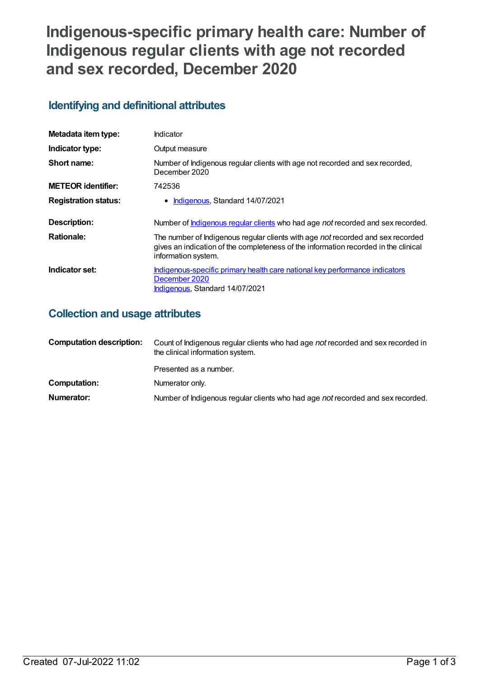# **Indigenous-specific primary health care: Number of Indigenous regular clients with age not recorded and sex recorded, December 2020**

## **Identifying and definitional attributes**

| Metadata item type:         | Indicator                                                                                                                                                                                     |
|-----------------------------|-----------------------------------------------------------------------------------------------------------------------------------------------------------------------------------------------|
| Indicator type:             | Output measure                                                                                                                                                                                |
| Short name:                 | Number of Indigenous regular clients with age not recorded and sex recorded,<br>December 2020                                                                                                 |
| <b>METEOR identifier:</b>   | 742536                                                                                                                                                                                        |
| <b>Registration status:</b> | • Indigenous, Standard 14/07/2021                                                                                                                                                             |
| Description:                | Number of <b>Indigenous regular clients</b> who had age not recorded and sex recorded.                                                                                                        |
| <b>Rationale:</b>           | The number of Indigenous regular clients with age not recorded and sex recorded<br>gives an indication of the completeness of the information recorded in the clinical<br>information system. |
| Indicator set:              | Indigenous-specific primary health care national key performance indicators<br>December 2020<br>Indigenous, Standard 14/07/2021                                                               |

## **Collection and usage attributes**

| <b>Computation description:</b> | Count of Indigenous regular clients who had age not recorded and sex recorded in<br>the clinical information system. |  |
|---------------------------------|----------------------------------------------------------------------------------------------------------------------|--|
|                                 | Presented as a number.                                                                                               |  |
| Computation:                    | Numerator only.                                                                                                      |  |
| Numerator:                      | Number of Indigenous regular clients who had age not recorded and sex recorded.                                      |  |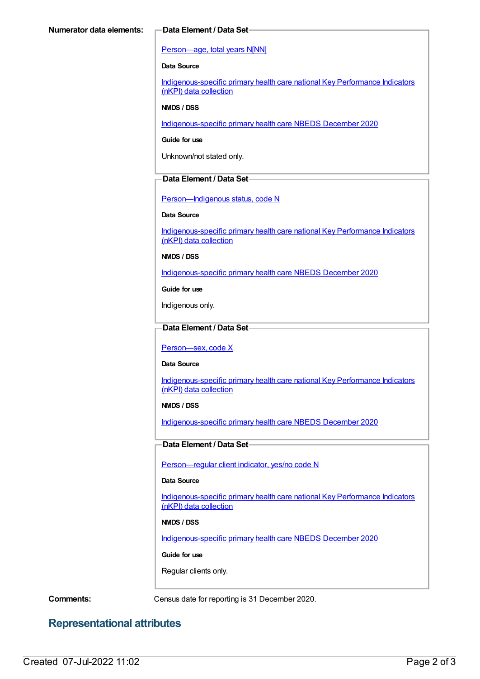#### [Person—age,](https://meteor.aihw.gov.au/content/303794) total years N[NN]

#### **Data Source**

[Indigenous-specific](https://meteor.aihw.gov.au/content/737914) primary health care national Key Performance Indicators (nKPI) data collection

#### **NMDS / DSS**

[Indigenous-specific](https://meteor.aihw.gov.au/content/738532) primary health care NBEDS December 2020

**Guide for use**

Unknown/not stated only.

#### **Data Element / Data Set**

[Person—Indigenous](https://meteor.aihw.gov.au/content/602543) status, code N

#### **Data Source**

[Indigenous-specific](https://meteor.aihw.gov.au/content/737914) primary health care national Key Performance Indicators (nKPI) data collection

**NMDS / DSS**

[Indigenous-specific](https://meteor.aihw.gov.au/content/738532) primary health care NBEDS December 2020

**Guide for use**

Indigenous only.

#### **Data Element / Data Set**

[Person—sex,](https://meteor.aihw.gov.au/content/635126) code X

#### **Data Source**

[Indigenous-specific](https://meteor.aihw.gov.au/content/737914) primary health care national Key Performance Indicators (nKPI) data collection

#### **NMDS / DSS**

[Indigenous-specific](https://meteor.aihw.gov.au/content/738532) primary health care NBEDS December 2020

#### **Data Element / Data Set**

[Person—regular](https://meteor.aihw.gov.au/content/686291) client indicator, yes/no code N

#### **Data Source**

[Indigenous-specific](https://meteor.aihw.gov.au/content/737914) primary health care national Key Performance Indicators (nKPI) data collection

#### **NMDS / DSS**

[Indigenous-specific](https://meteor.aihw.gov.au/content/738532) primary health care NBEDS December 2020

#### **Guide for use**

Regular clients only.

**Comments:** Census date for reporting is 31 December 2020.

## **Representational attributes**